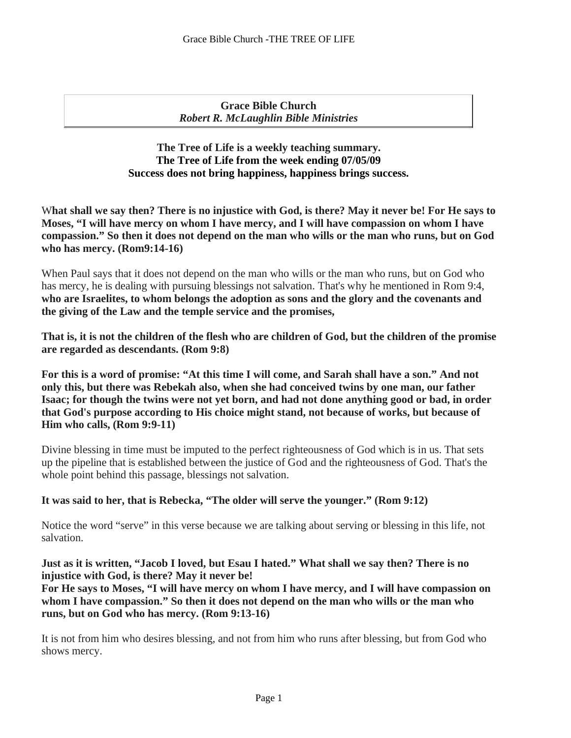# **Grace Bible Church** *Robert R. McLaughlin Bible Ministries*

# **The Tree of Life is a weekly teaching summary. The Tree of Life from the week ending 07/05/09 Success does not bring happiness, happiness brings success.**

**hat shall we say then? There is no injustice with God, is there? May it never be! For He says to**  W **Moses, "I will have mercy on whom I have mercy, and I will have compassion on whom I have compassion." So then it does not depend on the man who wills or the man who runs, but on God who has mercy. (Rom9:14-16)**

When Paul says that it does not depend on the man who wills or the man who runs, but on God who has mercy, he is dealing with pursuing blessings not salvation. That's why he mentioned in Rom 9:4, **who are Israelites, to whom belongs the adoption as sons and the glory and the covenants and the giving of the Law and the temple service and the promises,**

**That is, it is not the children of the flesh who are children of God, but the children of the promise are regarded as descendants. (Rom 9:8)**

**For this is a word of promise: "At this time I will come, and Sarah shall have a son." And not only this, but there was Rebekah also, when she had conceived twins by one man, our father Isaac; for though the twins were not yet born, and had not done anything good or bad, in order that God's purpose according to His choice might stand, not because of works, but because of Him who calls, (Rom 9:9-11)**

Divine blessing in time must be imputed to the perfect righteousness of God which is in us. That sets up the pipeline that is established between the justice of God and the righteousness of God. That's the whole point behind this passage, blessings not salvation.

**It was said to her, that is Rebecka, "The older will serve the younger." (Rom 9:12)**

Notice the word "serve" in this verse because we are talking about serving or blessing in this life, not salvation.

**Just as it is written, "Jacob I loved, but Esau I hated." What shall we say then? There is no injustice with God, is there? May it never be!** 

**For He says to Moses, "I will have mercy on whom I have mercy, and I will have compassion on whom I have compassion." So then it does not depend on the man who wills or the man who runs, but on God who has mercy. (Rom 9:13-16)**

It is not from him who desires blessing, and not from him who runs after blessing, but from God who shows mercy.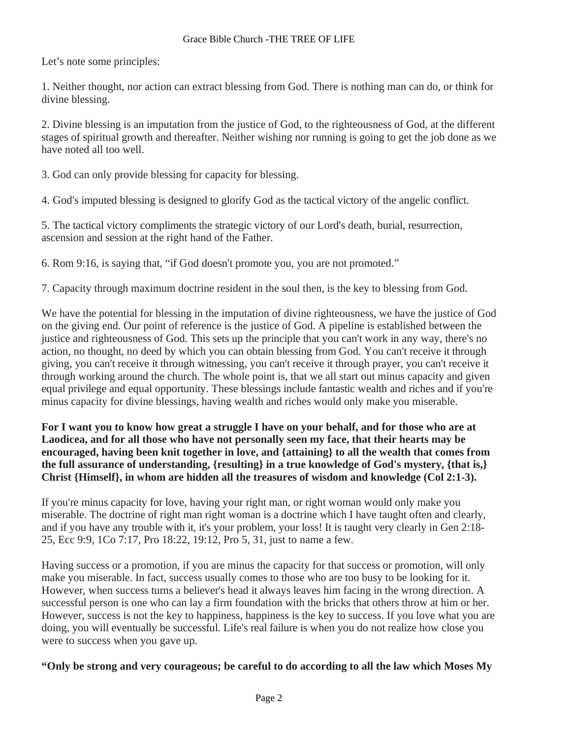Let's note some principles:

1. Neither thought, nor action can extract blessing from God. There is nothing man can do, or think for divine blessing.

2. Divine blessing is an imputation from the justice of God, to the righteousness of God, at the different stages of spiritual growth and thereafter. Neither wishing nor running is going to get the job done as we have noted all too well.

3. God can only provide blessing for capacity for blessing.

4. God's imputed blessing is designed to glorify God as the tactical victory of the angelic conflict.

5. The tactical victory compliments the strategic victory of our Lord's death, burial, resurrection, ascension and session at the right hand of the Father.

6. Rom 9:16, is saying that, "if God doesn't promote you, you are not promoted."

7. Capacity through maximum doctrine resident in the soul then, is the key to blessing from God.

We have the potential for blessing in the imputation of divine righteousness, we have the justice of God on the giving end. Our point of reference is the justice of God. A pipeline is established between the justice and righteousness of God. This sets up the principle that you can't work in any way, there's no action, no thought, no deed by which you can obtain blessing from God. You can't receive it through giving, you can't receive it through witnessing, you can't receive it through prayer, you can't receive it through working around the church. The whole point is, that we all start out minus capacity and given equal privilege and equal opportunity. These blessings include fantastic wealth and riches and if you're minus capacity for divine blessings, having wealth and riches would only make you miserable.

**For I want you to know how great a struggle I have on your behalf, and for those who are at Laodicea, and for all those who have not personally seen my face, that their hearts may be encouraged, having been knit together in love, and {attaining} to all the wealth that comes from the full assurance of understanding, {resulting} in a true knowledge of God's mystery, {that is,} Christ {Himself}, in whom are hidden all the treasures of wisdom and knowledge (Col 2:1-3).**

If you're minus capacity for love, having your right man, or right woman would only make you miserable. The doctrine of right man right woman is a doctrine which I have taught often and clearly, and if you have any trouble with it, it's your problem, your loss! It is taught very clearly in Gen 2:18- 25, Ecc 9:9, 1Co 7:17, Pro 18:22, 19:12, Pro 5, 31, just to name a few.

Having success or a promotion, if you are minus the capacity for that success or promotion, will only make you miserable. In fact, success usually comes to those who are too busy to be looking for it. However, when success turns a believer's head it always leaves him facing in the wrong direction. A successful person is one who can lay a firm foundation with the bricks that others throw at him or her. However, success is not the key to happiness, happiness is the key to success. If you love what you are doing, you will eventually be successful. Life's real failure is when you do not realize how close you were to success when you gave up.

**"Only be strong and very courageous; be careful to do according to all the law which Moses My**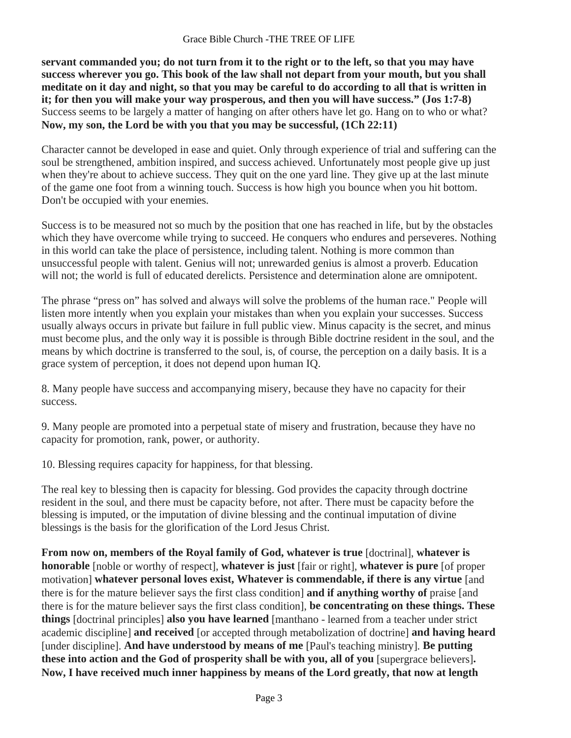### Grace Bible Church -THE TREE OF LIFE

**servant commanded you; do not turn from it to the right or to the left, so that you may have success wherever you go. This book of the law shall not depart from your mouth, but you shall meditate on it day and night, so that you may be careful to do according to all that is written in it; for then you will make your way prosperous, and then you will have success." (Jos 1:7-8)** Success seems to be largely a matter of hanging on after others have let go. Hang on to who or what? **Now, my son, the Lord be with you that you may be successful, (1Ch 22:11)**

Character cannot be developed in ease and quiet. Only through experience of trial and suffering can the soul be strengthened, ambition inspired, and success achieved. Unfortunately most people give up just when they're about to achieve success. They quit on the one yard line. They give up at the last minute of the game one foot from a winning touch. Success is how high you bounce when you hit bottom. Don't be occupied with your enemies.

Success is to be measured not so much by the position that one has reached in life, but by the obstacles which they have overcome while trying to succeed. He conquers who endures and perseveres. Nothing in this world can take the place of persistence, including talent. Nothing is more common than unsuccessful people with talent. Genius will not; unrewarded genius is almost a proverb. Education will not; the world is full of educated derelicts. Persistence and determination alone are omnipotent.

The phrase "press on" has solved and always will solve the problems of the human race." People will listen more intently when you explain your mistakes than when you explain your successes. Success usually always occurs in private but failure in full public view. Minus capacity is the secret, and minus must become plus, and the only way it is possible is through Bible doctrine resident in the soul, and the means by which doctrine is transferred to the soul, is, of course, the perception on a daily basis. It is a grace system of perception, it does not depend upon human IQ.

8. Many people have success and accompanying misery, because they have no capacity for their success.

9. Many people are promoted into a perpetual state of misery and frustration, because they have no capacity for promotion, rank, power, or authority.

10. Blessing requires capacity for happiness, for that blessing.

The real key to blessing then is capacity for blessing. God provides the capacity through doctrine resident in the soul, and there must be capacity before, not after. There must be capacity before the blessing is imputed, or the imputation of divine blessing and the continual imputation of divine blessings is the basis for the glorification of the Lord Jesus Christ.

**From now on, members of the Royal family of God, whatever is true** [doctrinal], **whatever is honorable** [noble or worthy of respect], **whatever is just** [fair or right], **whatever is pure** [of proper motivation] **whatever personal loves exist, Whatever is commendable, if there is any virtue** [and there is for the mature believer says the first class condition] **and if anything worthy of** praise [and there is for the mature believer says the first class condition], **be concentrating on these things. These things** [doctrinal principles] **also you have learned** [manthano - learned from a teacher under strict academic discipline] **and received** [or accepted through metabolization of doctrine] **and having heard**  [under discipline]. And have understood by means of me [Paul's teaching ministry]. Be putting these into action and the God of prosperity shall be with you, all of you [supergrace believers]. Now, I have received much inner happiness by means of the Lord greatly, that now at length